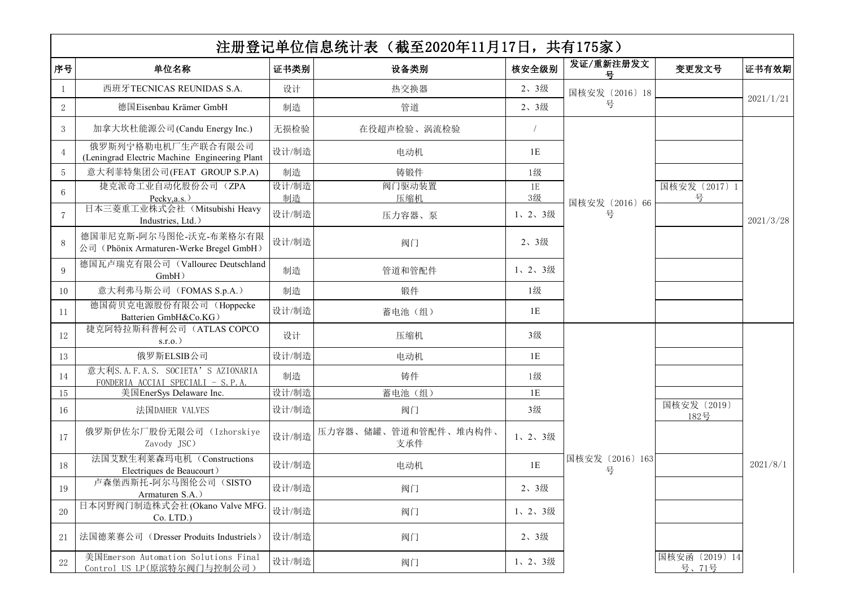|                 |                                                                         |             | 注册登记单位信息统计表(截至2020年11月17日,共有175家) |               |                      |                         |           |
|-----------------|-------------------------------------------------------------------------|-------------|-----------------------------------|---------------|----------------------|-------------------------|-----------|
| 序号              | 单位名称                                                                    | 证书类别        | 设备类别                              | 核安全级别         | 发证/重新注册发文            | 变更发文号                   | 证书有效期     |
| 1               | 西班牙TECNICAS REUNIDAS S.A.                                               | 设计          | 热交换器                              | 2、3级          | 国核安发 (2016) 18       |                         |           |
| $\mathbf{2}$    | 德国Eisenbau Krämer GmbH                                                  | 制造          | 管道                                | 2、3级          | 号                    |                         | 2021/1/21 |
| $3\phantom{.0}$ | 加拿大坎杜能源公司(Candu Energy Inc.)                                            | 无损检验        | 在役超声检验、涡流检验                       |               |                      |                         |           |
| $\overline{4}$  | 俄罗斯列宁格勒电机厂生产联合有限公司<br>(Leningrad Electric Machine Engineering Plant     | 设计/制造       | 电动机                               | 1E            |                      |                         |           |
| $5\phantom{.0}$ | 意大利菲特集团公司(FEAT GROUP S.P.A)                                             | 制造          | 铸锻件                               | 1级            |                      |                         |           |
| $6\phantom{.}6$ | 捷克派奇工业自动化股份公司 (ZPA                                                      | 设计/制造       | 阀门驱动装置                            | 1E            |                      | 国核安发 (2017) 1           |           |
| $\overline{7}$  | Pecky, a.s.)<br>日本三菱重工业株式会社 (Mitsubishi Heavy<br>Industries, Ltd.)      | 制造<br>设计/制造 | 压缩机<br>压力容器、泵                     | 3级<br>1、2、3级  | 国核安发 (2016) 66<br>号  | 号                       | 2021/3/28 |
| 8               | 德国菲尼克斯-阿尔马图伦-沃克-布莱格尔有限<br>公司 (Phönix Armaturen-Werke Bregel GmbH)       | 设计/制造       | 阀门                                | 2、3级          |                      |                         |           |
| 9               | 德国瓦卢瑞克有限公司 (Vallourec Deutschland<br>$GmbH$ )                           | 制造          | 管道和管配件                            | 1、2、3级        |                      |                         |           |
| 10              | 意大利弗马斯公司 (FOMAS S.p.A.)                                                 | 制造          | 锻件                                | 1级            |                      |                         |           |
| 11              | 德国荷贝克电源股份有限公司 (Hoppecke<br>Batterien GmbH&Co.KG)                        | 设计/制造       | 蓄电池(组)                            | $1\mathrm{E}$ |                      |                         |           |
| 12              | 捷克阿特拉斯科普柯公司 (ATLAS COPCO<br>$s.r.o.$ )                                  | 设计          | 压缩机                               | 3级            |                      |                         |           |
| 13              | 俄罗斯ELSIB公司                                                              | 设计/制造       | 电动机                               | 1E            |                      |                         |           |
| 14              | 意大利S.A.F.A.S. SOCIETA' S AZIONARIA<br>FONDERIA ACCIAI SPECIALI - S.P.A. | 制造          | 铸件                                | 1级            |                      |                         |           |
| 15              | 美国EnerSys Delaware Inc.                                                 | 设计/制造       | 蓄电池(组)                            | 1E            |                      |                         |           |
| 16              | 法国DAHER VALVES                                                          | 设计/制造       | 阀门                                | 3级            |                      | 国核安发 (2019)<br>182号     |           |
| 17              | 俄罗斯伊佐尔厂股份无限公司 (Izhorskiye<br>Zavody JSC)                                | 设计/制造       | 压力容器、储罐、管道和管配件、堆内构件、<br>支承件       | 1、2、3级        |                      |                         |           |
| 18              | 法国艾默生利莱森玛电机 (Constructions<br>Electriques de Beaucourt)                 | 设计/制造       | 电动机                               | 1E            | 国核安发 (2016) 163<br>号 |                         | 2021/8/1  |
| 19              | 卢森堡西斯托-阿尔马图伦公司 (SISTO<br>Armaturen S.A.                                 | 设计/制造       | 阀门                                | 2、3级          |                      |                         |           |
| $20\,$          | 日本冈野阀门制造株式会社(Okano Valve MFG.<br>Co. LTD.)                              | 设计/制造       | 阀门                                | 1、2、3级        |                      |                         |           |
| 21              | 法国德莱赛公司 (Dresser Produits Industriels)                                  | 设计/制造       | 阀门                                | 2、3级          |                      |                         |           |
| $22\,$          | 美国Emerson Automation Solutions Final<br>Control US LP(原滨特尔阀门与控制公司)      | 设计/制造       | 阀门                                | 1、2、3级        |                      | 国核安函 (2019) 14<br>号、71号 |           |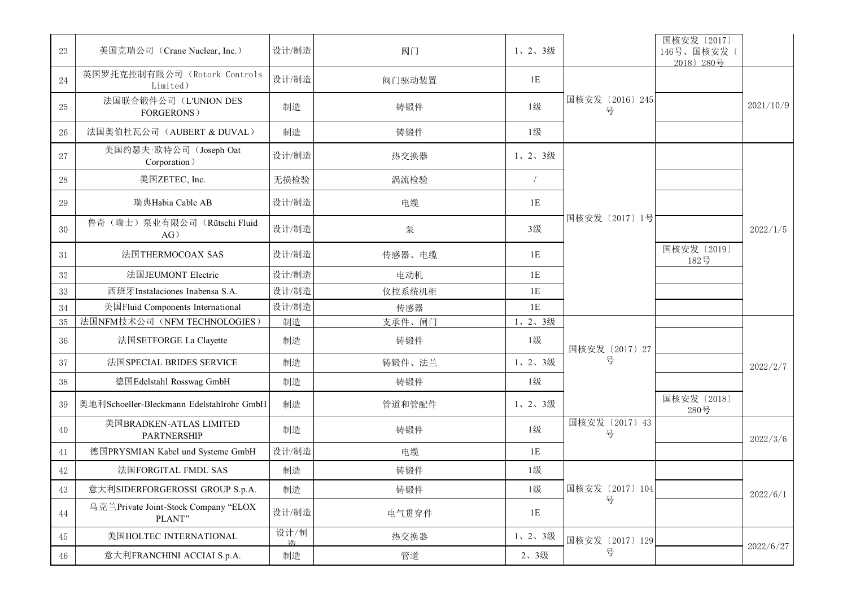| 23       | 美国克瑞公司 (Crane Nuclear, Inc.)                   | 设计/制造     | 阀门     | 1、2、3级        |                      | 国核安发 (2017)<br>146号、国核安发〔<br>2018) 280号 |           |
|----------|------------------------------------------------|-----------|--------|---------------|----------------------|-----------------------------------------|-----------|
| 24       | 英国罗托克控制有限公司 (Rotork Controls<br>Limited)       | 设计/制造     | 阀门驱动装置 | $1\mathrm{E}$ |                      |                                         |           |
| $25\,$   | 法国联合锻件公司 (L'UNION DES<br><b>FORGERONS</b> )    | 制造        | 铸锻件    | 1级            | 国核安发 (2016) 245<br>号 |                                         | 2021/10/9 |
| 26       | 法国奥伯杜瓦公司 (AUBERT & DUVAL)                      | 制造        | 铸锻件    | 1级            |                      |                                         |           |
| 27       | 美国约瑟夫·欧特公司(Joseph Oat<br>Corporation)          | 设计/制造     | 热交换器   | 1、2、3级        |                      |                                         |           |
| 28       | 美国ZETEC, Inc.                                  | 无损检验      | 涡流检验   |               |                      |                                         |           |
| $\rm 29$ | 瑞典Habia Cable AB                               | 设计/制造     | 电缆     | $1\mathrm{E}$ |                      |                                         |           |
| 30       | 鲁奇(瑞士) 泵业有限公司 (Rütschi Fluid<br>AG)            | 设计/制造     | 泵      | 3级            | 国核安发 (2017) 1号       |                                         | 2022/1/5  |
| 31       | 法国THERMOCOAX SAS                               | 设计/制造     | 传感器、电缆 | 1E            |                      | 国核安发 (2019)<br>182号                     |           |
| $32\,$   | 法国JEUMONT Electric                             | 设计/制造     | 电动机    | 1E            |                      |                                         |           |
| $33\,$   | 西班牙Instalaciones Inabensa S.A.                 | 设计/制造     | 仪控系统机柜 | $1\mathrm{E}$ |                      |                                         |           |
| 34       | 美国Fluid Components International               | 设计/制造     | 传感器    | $1\mathrm{E}$ |                      |                                         |           |
| $35\,$   | 法国NFM技术公司 (NFM TECHNOLOGIES)                   | 制造        | 支承件、闸门 | 1、2、3级        |                      |                                         |           |
| 36       | 法国SETFORGE La Clayette                         | 制造        | 铸锻件    | 1级            | 国核安发 (2017) 27       |                                         |           |
| 37       | 法国SPECIAL BRIDES SERVICE                       | 制造        | 铸锻件、法兰 | 1、2、3级        | 号                    |                                         | 2022/2/7  |
| $38\,$   | 德国Edelstahl Rosswag GmbH                       | 制造        | 铸锻件    | 1级            |                      |                                         |           |
| 39       | 奥地利Schoeller-Bleckmann Edelstahlrohr GmbH      | 制造        | 管道和管配件 | 1、2、3级        |                      | 国核安发 (2018)<br>280号                     |           |
| 40       | 美国BRADKEN-ATLAS LIMITED<br>PARTNERSHIP         | 制造        | 铸锻件    | 1级            | 国核安发 (2017) 43<br>号  |                                         | 2022/3/6  |
| 41       | 德国PRYSMIAN Kabel und Systeme GmbH              | 设计/制造     | 电缆     | 1E            |                      |                                         |           |
| 42       | 法国FORGITAL FMDL SAS                            | 制造        | 铸锻件    | 1级            |                      |                                         |           |
| 43       | 意大利SIDERFORGEROSSI GROUP S.p.A.                | 制造        | 铸锻件    | 1级            | 国核安发 (2017) 104      |                                         | 2022/6/1  |
| 44       | 乌克兰Private Joint-Stock Company "ELOX<br>PLANT" | 设计/制造     | 电气贯穿件  | 1E            | 뮹                    |                                         |           |
| 45       | 美国HOLTEC INTERNATIONAL                         | 设计/制<br>泩 | 热交换器   | 1、2、3级        | 国核安发 (2017) 129      |                                         |           |
| 46       | 意大利FRANCHINI ACCIAI S.p.A.                     | 制造        | 管道     | 2、3级          | 号                    |                                         | 2022/6/27 |
|          |                                                |           |        |               |                      |                                         |           |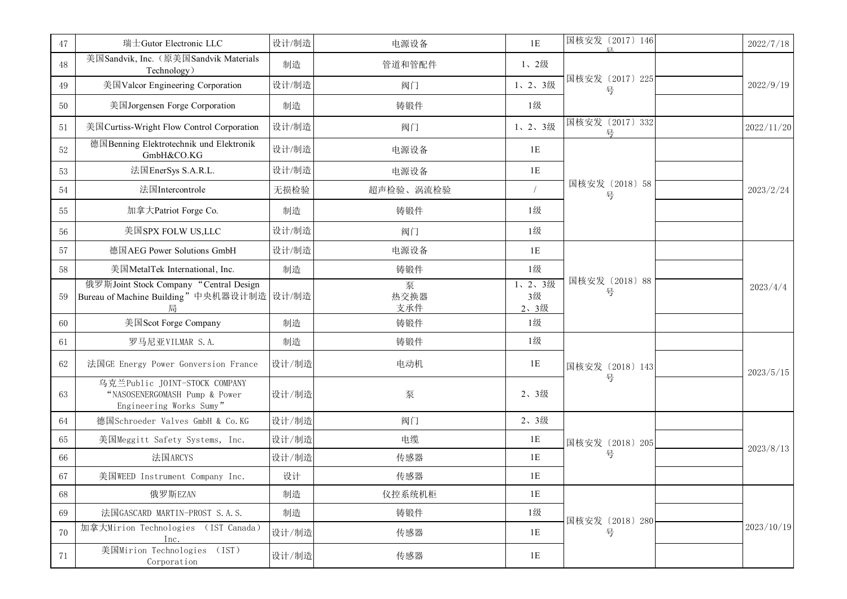| 47     | 瑞士Gutor Electronic LLC                                                                    | 设计/制造 | 电源设备             | $1\mathrm{E}$        | 国核安发 (2017) 146<br>戸. | 2022/7/18  |
|--------|-------------------------------------------------------------------------------------------|-------|------------------|----------------------|-----------------------|------------|
| 48     | 美国Sandvik, Inc. (原美国Sandvik Materials<br>Technology)                                      | 制造    | 管道和管配件           | 1、2级                 |                       |            |
| 49     | 美国Valcor Engineering Corporation                                                          | 设计/制造 | 阀门               | 1、2、3级               | 国核安发 (2017) 225<br>뮥  | 2022/9/19  |
| 50     | 美国Jorgensen Forge Corporation                                                             | 制造    | 铸锻件              | 1级                   |                       |            |
| 51     | 美国Curtiss-Wright Flow Control Corporation                                                 | 设计/制造 | 阀门               | 1、2、3级               | 国核安发 (2017) 332<br>뮥  | 2022/11/20 |
| 52     | 德国Benning Elektrotechnik und Elektronik<br>GmbH&CO.KG                                     | 设计/制造 | 电源设备             | 1E                   |                       |            |
| 53     | 法国EnerSys S.A.R.L.                                                                        | 设计/制造 | 电源设备             | $1\mathrm{E}$        |                       |            |
| $54\,$ | 法国Intercontrole                                                                           | 无损检验  | 超声检验、涡流检验        | $\sqrt{ }$           | 国核安发 (2018) 58<br>号   | 2023/2/24  |
| 55     | 加拿大Patriot Forge Co.                                                                      | 制造    | 铸锻件              | 1级                   |                       |            |
| 56     | 美国SPX FOLW US,LLC                                                                         | 设计/制造 | 阀门               | 1级                   |                       |            |
| 57     | 德国AEG Power Solutions GmbH                                                                | 设计/制造 | 电源设备             | 1E                   | 国核安发 (2018) 88<br>号   |            |
| 58     | 美国MetalTek International, Inc.                                                            | 制造    | 铸锻件              | 1级                   |                       |            |
| 59     | 俄罗斯Joint Stock Company "Central Design<br>Bureau of Machine Building"中央机器设计制造 设计/制造<br>局  |       | 泵<br>热交换器<br>支承件 | 1、2、3级<br>3级<br>2、3级 |                       | 2023/4/4   |
| 60     | 美国Scot Forge Company                                                                      | 制造    | 铸锻件              | 1级                   |                       |            |
| 61     | 罗马尼亚VILMAR S.A.                                                                           | 制造    | 铸锻件              | 1级                   |                       |            |
| 62     | 法国GE Energy Power Gonversion France                                                       | 设计/制造 | 电动机              | 1E                   | 国核安发 (2018) 143       | 2023/5/15  |
| 63     | 乌克兰Public JOINT-STOCK COMPANY<br>"NASOSENERGOMASH Pump & Power<br>Engineering Works Sumy" | 设计/制造 | 泵                | 2、3级                 | 号                     |            |
| 64     | 德国Schroeder Valves GmbH & Co.KG                                                           | 设计/制造 | 阀门               | 2、3级                 |                       |            |
| 65     | 美国Meggitt Safety Systems, Inc.                                                            | 设计/制造 | 电缆               | $1\mathrm{E}$        | 国核安发 (2018) 205       | 2023/8/13  |
| 66     | 法国ARCYS                                                                                   | 设计/制造 | 传感器              | 1E                   | 号                     |            |
| 67     | 美国WEED Instrument Company Inc.                                                            | 设计    | 传感器              | 1E                   |                       |            |
| 68     | 俄罗斯EZAN                                                                                   | 制造    | 仪控系统机柜           | 1E                   |                       |            |
| 69     | 法国GASCARD MARTIN-PROST S.A.S.                                                             | 制造    | 铸锻件              | 1级                   | 国核安发 (2018) 280       |            |
| 70     | 加拿大Mirion Technologies (IST Canada)<br>Inc.                                               | 设计/制造 | 传感器              | 1E                   | 号                     | 2023/10/19 |
| 71     | 美国Mirion Technologies (IST)<br>Corporation                                                | 设计/制造 | 传感器              | 1E                   |                       |            |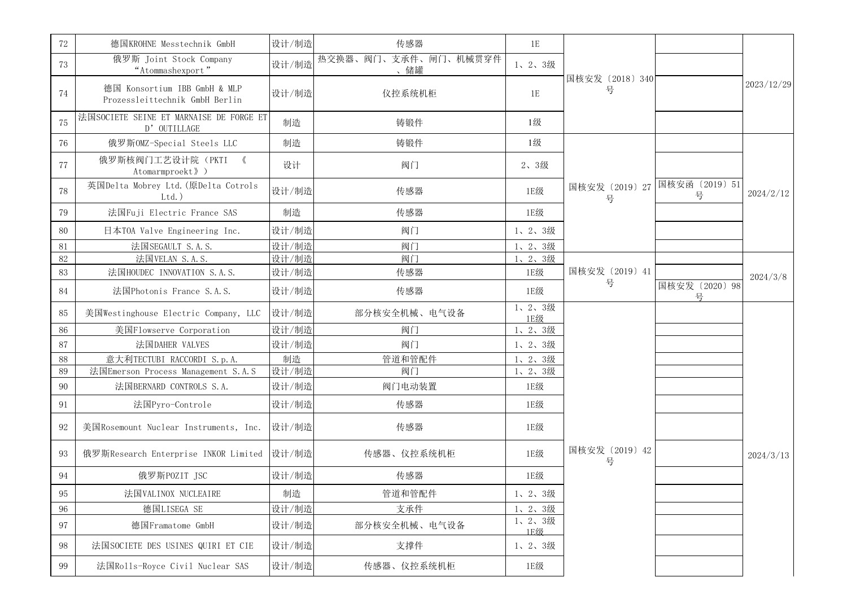| 72       | 德国KROHNE Messtechnik GmbH                                      | 设计/制造 | 传感器                         | 1E            |                                    |                     |            |
|----------|----------------------------------------------------------------|-------|-----------------------------|---------------|------------------------------------|---------------------|------------|
| 73       | 俄罗斯 Joint Stock Company<br>"Atommashexport"                    | 设计/制造 | 热交换器、阀门、支承件、闸门、机械贯穿件<br>、储罐 | 1、2、3级        | 国核安发 (2018) 340<br>륙               |                     |            |
| 74       | 德国 Konsortium IBB GmbH & MLP<br>Prozessleittechnik GmbH Berlin | 设计/制造 | 仪控系统机柜                      | 1E            |                                    |                     | 2023/12/29 |
| 75       | 法国SOCIETE SEINE ET MARNAISE DE FORGE ET<br>D' OUTILLAGE        | 制造    | 铸锻件                         | 1级            |                                    |                     |            |
| 76       | 俄罗斯OMZ-Special Steels LLC                                      | 制造    | 铸锻件                         | 1级            |                                    |                     |            |
| 77       | 俄罗斯核阀门工艺设计院 (PKTI 《<br>Atomarmproekt》)                         | 设计    | 阀门                          | 2、3级          |                                    |                     |            |
| 78       | 英国Delta Mobrey Ltd. (原Delta Cotrols<br>$Ltd.$ )                | 设计/制造 | 传感器                         | 1E级           | 国核安发 (2019) 27 国核安函 (2019) 51<br>뮹 | 号                   | 2024/2/12  |
| 79       | 法国Fuji Electric France SAS                                     | 制造    | 传感器                         | 1E级           |                                    |                     |            |
| 80       | 日本TOA Valve Engineering Inc.                                   | 设计/制造 | 阀门                          | 1、2、3级        |                                    |                     |            |
| 81       | 法国SEGAULT S.A.S.                                               | 设计/制造 | 阀门                          | 1、2、3级        |                                    |                     |            |
| 82       | 法国VELAN S.A.S.                                                 | 设计/制造 | 阀门                          | 1、2、3级        |                                    |                     |            |
| 83       | 法国HOUDEC INNOVATION S.A.S.                                     | 设计/制造 | 传感器                         | 1E级           | 国核安发 (2019) 41<br>号                |                     | 2024/3/8   |
| 84       | 法国Photonis France S.A.S.                                       | 设计/制造 | 传感器                         | 1E级           |                                    | 国核安发 (2020) 98<br>号 |            |
| 85       | 美国Westinghouse Electric Company, LLC                           | 设计/制造 | 部分核安全机械、电气设备                | 1、2、3级<br>1E级 |                                    |                     |            |
| 86       | 美国Flowserve Corporation                                        | 设计/制造 | 阀门                          | 1、2、3级        |                                    |                     |            |
| 87       | 法国DAHER VALVES                                                 | 设计/制造 | 阀门                          | 1、2、3级        |                                    |                     |            |
| 88       | 意大利TECTUBI RACCORDI S.p.A.                                     | 制造    | 管道和管配件                      | 1、2、3级        |                                    |                     |            |
| 89       | 法国Emerson Process Management S.A.S                             | 设计/制造 | 阀门                          | 1、2、3级        |                                    |                     |            |
| 90       | 法国BERNARD CONTROLS S.A.                                        | 设计/制造 | 阀门电动装置                      | 1E级           |                                    |                     |            |
| 91       | 法国Pyro-Controle                                                | 设计/制造 | 传感器                         | 1E级           |                                    |                     |            |
| 92       | 美国Rosemount Nuclear Instruments, Inc.                          | 设计/制造 | 传感器                         | 1E级           |                                    |                     |            |
| 93       | 俄罗斯Research Enterprise INKOR Limited 设计/制造                     |       | 传感器、仪控系统机柜                  | 1E级           | 国核安发 (2019) 42<br>号                |                     | 2024/3/13  |
| 94       | 俄罗斯POZIT JSC                                                   | 设计/制造 | 传感器                         | 1E级           |                                    |                     |            |
| $\rm 95$ | 法国VALINOX NUCLEAIRE                                            | 制造    | 管道和管配件                      | 1、2、3级        |                                    |                     |            |
| 96       | 德国LISEGA SE                                                    | 设计/制造 | 支承件                         | 1、2、3级        |                                    |                     |            |
| 97       | 德国Framatome GmbH                                               | 设计/制造 | 部分核安全机械、电气设备                | 1、2、3级<br>1E级 |                                    |                     |            |
| $98\,$   | 法国SOCIETE DES USINES QUIRI ET CIE                              | 设计/制造 | 支撑件                         | 1、2、3级        |                                    |                     |            |
| 99       | 法国Rolls-Royce Civil Nuclear SAS                                | 设计/制造 | 传感器、仪控系统机柜                  | 1E级           |                                    |                     |            |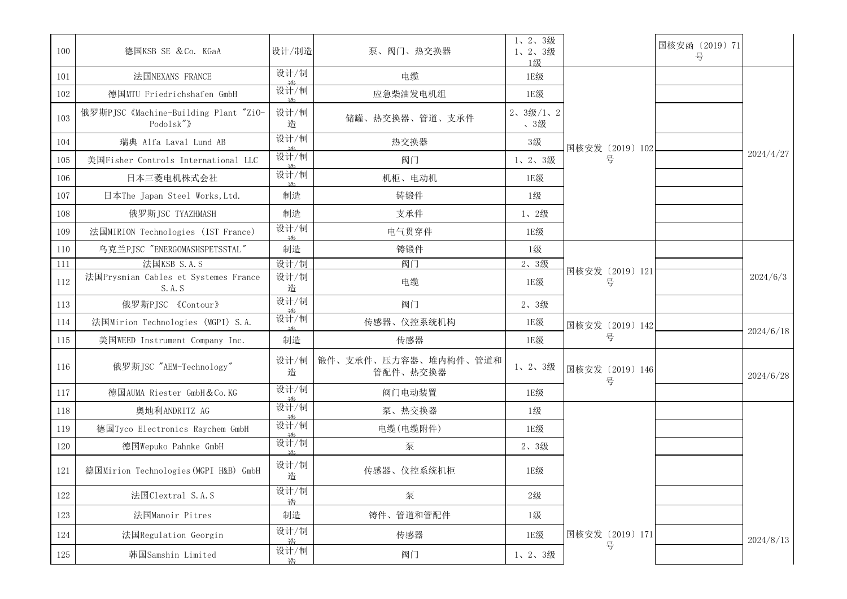| 100     | 德国KSB SE & Co. KGaA                                | 设计/制造       | 泵、阀门、热交换器                        | 1、2、3级<br>1、2、3级<br>1级 |                      | 国核安函 (2019) 71<br>号 |           |
|---------|----------------------------------------------------|-------------|----------------------------------|------------------------|----------------------|---------------------|-----------|
| 101     | 法国NEXANS FRANCE                                    | 设计/制        | 电缆                               | 1E级                    |                      |                     |           |
| 102     | 德国MTU Friedrichshafen GmbH                         | 设计/制        | 应急柴油发电机组                         | 1E级                    |                      |                     |           |
| 103     | 俄罗斯PJSC 《Machine-Building Plant "ZiO-<br>Podolsk") | 设计/制<br>造   | 储罐、热交换器、管道、支承件                   | 2、3级/1、2<br>、3级        |                      |                     |           |
| 104     | 瑞典 Alfa Laval Lund AB                              | 设计/制<br>3升: | 热交换器                             | 3级                     | 国核安发 (2019) 102      |                     |           |
| 105     | 美国Fisher Controls International LLC                | 设计/制        | 阀门                               | 1、2、3级                 | 륙                    |                     | 2024/4/27 |
| 106     | 日本三菱电机株式会社                                         | 设计/制<br>土   | 机柜、电动机                           | 1E级                    |                      |                     |           |
| 107     | 日本The Japan Steel Works, Ltd.                      | 制造          | 铸锻件                              | 1级                     |                      |                     |           |
| 108     | 俄罗斯JSC TYAZHMASH                                   | 制造          | 支承件                              | 1、2级                   |                      |                     |           |
| 109     | 法国MIRION Technologies (IST France)                 | 设计/制<br>还   | 电气贯穿件                            | 1E级                    |                      |                     |           |
| 110     | 乌克兰PJSC "ENERGOMASHSPETSSTAL"                      | 制造          | 铸锻件                              | 1级                     |                      |                     |           |
| 111     | 法国KSB S.A.S                                        | 设计/制        | 阀门                               | 2、3级                   |                      |                     |           |
| 112     | 法国Prysmian Cables et Systemes France<br>S. A. S    | 设计/制<br>造   | 电缆                               | 1E级                    | 国核安发 (2019) 121<br>뮥 |                     | 2024/6/3  |
| 113     | 俄罗斯PJSC 《Contour》                                  | 设计/制        | 阀门                               | 2、3级                   |                      |                     |           |
| 114     | 法国Mirion Technologies (MGPI) S.A.                  | 设计/制        | 传感器、仪控系统机构                       | 1E级                    | 国核安发 (2019) 142      |                     |           |
| 115     | 美国WEED Instrument Company Inc.                     | 制造          | 传感器                              | 1E级                    | 륙                    |                     | 2024/6/18 |
| 116     | 俄罗斯JSC "AEM-Technology"                            | 设计/制<br>造   | 锻件、支承件、压力容器、堆内构件、管道和<br>管配件、热交换器 | 1、2、3级                 | 国核安发 (2019) 146<br>号 |                     | 2024/6/28 |
| 117     | 德国AUMA Riester GmbH & Co. KG                       | 设计/制        | 阀门电动装置                           | 1E级                    |                      |                     |           |
| 118     | 奥地利ANDRITZ AG                                      | 设计/制        | 泵、热交换器                           | 1级                     |                      |                     |           |
| 119     | 德国Tyco Electronics Raychem GmbH                    | 设计/制        | 电缆(电缆附件)                         | 1E级                    |                      |                     |           |
| 120     | 德国Wepuko Pahnke GmbH                               | 设计/制<br>还   | 泵                                | 2、3级                   |                      |                     |           |
| 121     | 德国Mirion Technologies (MGPI H&B) GmbH              | 设计/制<br>造   | 传感器、仪控系统机柜                       | 1E级                    |                      |                     |           |
| $122\,$ | 法国Clextral S.A.S                                   | 设计/制<br>浩   | 泵                                | 2级                     |                      |                     |           |
| 123     | 法国Manoir Pitres                                    | 制造          | 铸件、管道和管配件                        | 1级                     |                      |                     |           |
| 124     | 法国Regulation Georgin                               | 设计/制<br>诰   | 传感器                              | 1E级                    | 国核安发 (2019) 171      |                     | 2024/8/13 |
| 125     | 韩国Samshin Limited                                  | 设计/制<br>诰   | 阀门                               | 1、2、3级                 | 号                    |                     |           |
|         |                                                    |             |                                  |                        |                      |                     |           |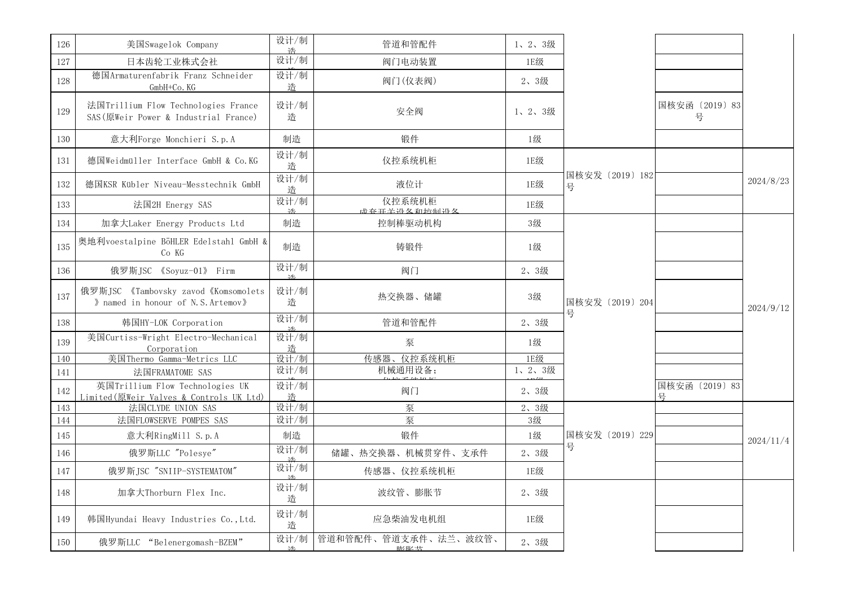| 设计/制<br>日本齿轮工业株式会社<br>阀门电动装置<br>1E级<br>127<br>设计/制<br>德国Armaturenfabrik Franz Schneider<br>128<br>阀门(仪表阀)<br>2、3级<br>诰<br>$GmbH+Co$ . KG<br>设计/制<br>国核安函 (2019) 83<br>法国Trillium Flow Technologies France<br>安全阀<br>129<br>1、2、3级<br>号<br>SAS (原Weir Power & Industrial France)<br>造<br>制造<br>意大利Forge Monchieri S.p.A<br>锻件<br>1级<br>130<br>设计/制<br>仪控系统机柜<br>德国Weidmüller Interface GmbH & Co.KG<br>1E级<br>131<br>造<br>国核安发 (2019) 182<br>设计/制<br>2024/8/23<br>德国KSR Kübler Niveau-Messtechnik GmbH<br>液位计<br>132<br>1E级<br>号<br>造<br>设计/制<br>仪控系统机柜<br>法国2H Energy SAS<br>1E级<br>133<br><b>武</b> 春耳光势久和诱到没久<br>加拿大Laker Energy Products Ltd<br>制造<br>控制棒驱动机构<br>3级<br>134<br>奥地利voestalpine BöHLER Edelstahl GmbH &<br>135<br>制造<br>铸锻件<br>1级<br>Co KG<br>设计/制<br>俄罗斯JSC 《Soyuz-01》 Firm<br>阀门<br>2、3级<br>136<br>光<br>设计/制<br>俄罗斯JSC 《Tambovsky zavod《Komsomolets<br>137<br>热交换器、储罐<br>3级<br>国核安发 (2019) 204<br>» named in honour of N.S. Artemov»<br>造<br>2024/9/12<br>뮥<br>设计/制<br>管道和管配件<br>韩国HY-LOK Corporation<br>2、3级<br>138<br>美国Curtiss-Wright Electro-Mechanical<br>设计/制<br>泵<br>139<br>1级<br>Corporation<br>诰<br>传感器、仪控系统机柜<br>设计/制<br>1E级<br>美国Thermo Gamma-Metrics LLC<br>140<br>设计/制<br>机械通用设备;<br>1、2、3级<br>法国FRAMATOME SAS<br>141<br>设计/制<br>英国Trillium Flow Technologies UK<br>国核安函 (2019) 83<br>阀门<br>2、3级<br>142<br>Limited(原Weir Valves & Controls UK Ltd)<br>诰<br>문<br>设计/制<br>泵<br>法国CLYDE UNION SAS<br>2、3级<br>143<br>设计/制<br>法国FLOWSERVE POMPES SAS<br>泵<br>3级<br>144<br>意大利RingMill S.p.A<br>制造<br>锻件<br>1级<br>国核安发 (2019) 229<br>145<br>2024/11/4<br>륙<br>设计/制<br>俄罗斯LLC "Polesye"<br>储罐、热交换器、机械贯穿件、支承件<br>2、3级<br>146<br>设计/制<br>俄罗斯JSC "SNIIP-SYSTEMATOM"<br>传感器、仪控系统机柜<br>1E级<br>147<br>设计/制<br>加拿大Thorburn Flex Inc.<br>波纹管、膨胀节<br>148<br>2、3级<br>造<br>设计/制<br>应急柴油发电机组<br>韩国Hyundai Heavy Industries Co., Ltd.<br>1E级<br>149<br>造<br>管道和管配件、管道支承件、法兰、波纹管、<br>设计/制<br>俄罗斯LLC "Belenergomash-BZEM"<br>2、3级<br>150<br>膨胀共 | 126 | 美国Swagelok Company | 设计/制<br>浩 | 管道和管配件 | 1、2、3级 |  |  |
|---------------------------------------------------------------------------------------------------------------------------------------------------------------------------------------------------------------------------------------------------------------------------------------------------------------------------------------------------------------------------------------------------------------------------------------------------------------------------------------------------------------------------------------------------------------------------------------------------------------------------------------------------------------------------------------------------------------------------------------------------------------------------------------------------------------------------------------------------------------------------------------------------------------------------------------------------------------------------------------------------------------------------------------------------------------------------------------------------------------------------------------------------------------------------------------------------------------------------------------------------------------------------------------------------------------------------------------------------------------------------------------------------------------------------------------------------------------------------------------------------------------------------------------------------------------------------------------------------------------------------------------------------------------------------------------------------------------------------------------------------------------------------------------------------------------------------------------------------------------------------------------------------------------------------------------------------------|-----|--------------------|-----------|--------|--------|--|--|
|                                                                                                                                                                                                                                                                                                                                                                                                                                                                                                                                                                                                                                                                                                                                                                                                                                                                                                                                                                                                                                                                                                                                                                                                                                                                                                                                                                                                                                                                                                                                                                                                                                                                                                                                                                                                                                                                                                                                                         |     |                    |           |        |        |  |  |
|                                                                                                                                                                                                                                                                                                                                                                                                                                                                                                                                                                                                                                                                                                                                                                                                                                                                                                                                                                                                                                                                                                                                                                                                                                                                                                                                                                                                                                                                                                                                                                                                                                                                                                                                                                                                                                                                                                                                                         |     |                    |           |        |        |  |  |
|                                                                                                                                                                                                                                                                                                                                                                                                                                                                                                                                                                                                                                                                                                                                                                                                                                                                                                                                                                                                                                                                                                                                                                                                                                                                                                                                                                                                                                                                                                                                                                                                                                                                                                                                                                                                                                                                                                                                                         |     |                    |           |        |        |  |  |
|                                                                                                                                                                                                                                                                                                                                                                                                                                                                                                                                                                                                                                                                                                                                                                                                                                                                                                                                                                                                                                                                                                                                                                                                                                                                                                                                                                                                                                                                                                                                                                                                                                                                                                                                                                                                                                                                                                                                                         |     |                    |           |        |        |  |  |
|                                                                                                                                                                                                                                                                                                                                                                                                                                                                                                                                                                                                                                                                                                                                                                                                                                                                                                                                                                                                                                                                                                                                                                                                                                                                                                                                                                                                                                                                                                                                                                                                                                                                                                                                                                                                                                                                                                                                                         |     |                    |           |        |        |  |  |
|                                                                                                                                                                                                                                                                                                                                                                                                                                                                                                                                                                                                                                                                                                                                                                                                                                                                                                                                                                                                                                                                                                                                                                                                                                                                                                                                                                                                                                                                                                                                                                                                                                                                                                                                                                                                                                                                                                                                                         |     |                    |           |        |        |  |  |
|                                                                                                                                                                                                                                                                                                                                                                                                                                                                                                                                                                                                                                                                                                                                                                                                                                                                                                                                                                                                                                                                                                                                                                                                                                                                                                                                                                                                                                                                                                                                                                                                                                                                                                                                                                                                                                                                                                                                                         |     |                    |           |        |        |  |  |
|                                                                                                                                                                                                                                                                                                                                                                                                                                                                                                                                                                                                                                                                                                                                                                                                                                                                                                                                                                                                                                                                                                                                                                                                                                                                                                                                                                                                                                                                                                                                                                                                                                                                                                                                                                                                                                                                                                                                                         |     |                    |           |        |        |  |  |
|                                                                                                                                                                                                                                                                                                                                                                                                                                                                                                                                                                                                                                                                                                                                                                                                                                                                                                                                                                                                                                                                                                                                                                                                                                                                                                                                                                                                                                                                                                                                                                                                                                                                                                                                                                                                                                                                                                                                                         |     |                    |           |        |        |  |  |
|                                                                                                                                                                                                                                                                                                                                                                                                                                                                                                                                                                                                                                                                                                                                                                                                                                                                                                                                                                                                                                                                                                                                                                                                                                                                                                                                                                                                                                                                                                                                                                                                                                                                                                                                                                                                                                                                                                                                                         |     |                    |           |        |        |  |  |
|                                                                                                                                                                                                                                                                                                                                                                                                                                                                                                                                                                                                                                                                                                                                                                                                                                                                                                                                                                                                                                                                                                                                                                                                                                                                                                                                                                                                                                                                                                                                                                                                                                                                                                                                                                                                                                                                                                                                                         |     |                    |           |        |        |  |  |
|                                                                                                                                                                                                                                                                                                                                                                                                                                                                                                                                                                                                                                                                                                                                                                                                                                                                                                                                                                                                                                                                                                                                                                                                                                                                                                                                                                                                                                                                                                                                                                                                                                                                                                                                                                                                                                                                                                                                                         |     |                    |           |        |        |  |  |
|                                                                                                                                                                                                                                                                                                                                                                                                                                                                                                                                                                                                                                                                                                                                                                                                                                                                                                                                                                                                                                                                                                                                                                                                                                                                                                                                                                                                                                                                                                                                                                                                                                                                                                                                                                                                                                                                                                                                                         |     |                    |           |        |        |  |  |
|                                                                                                                                                                                                                                                                                                                                                                                                                                                                                                                                                                                                                                                                                                                                                                                                                                                                                                                                                                                                                                                                                                                                                                                                                                                                                                                                                                                                                                                                                                                                                                                                                                                                                                                                                                                                                                                                                                                                                         |     |                    |           |        |        |  |  |
|                                                                                                                                                                                                                                                                                                                                                                                                                                                                                                                                                                                                                                                                                                                                                                                                                                                                                                                                                                                                                                                                                                                                                                                                                                                                                                                                                                                                                                                                                                                                                                                                                                                                                                                                                                                                                                                                                                                                                         |     |                    |           |        |        |  |  |
|                                                                                                                                                                                                                                                                                                                                                                                                                                                                                                                                                                                                                                                                                                                                                                                                                                                                                                                                                                                                                                                                                                                                                                                                                                                                                                                                                                                                                                                                                                                                                                                                                                                                                                                                                                                                                                                                                                                                                         |     |                    |           |        |        |  |  |
|                                                                                                                                                                                                                                                                                                                                                                                                                                                                                                                                                                                                                                                                                                                                                                                                                                                                                                                                                                                                                                                                                                                                                                                                                                                                                                                                                                                                                                                                                                                                                                                                                                                                                                                                                                                                                                                                                                                                                         |     |                    |           |        |        |  |  |
|                                                                                                                                                                                                                                                                                                                                                                                                                                                                                                                                                                                                                                                                                                                                                                                                                                                                                                                                                                                                                                                                                                                                                                                                                                                                                                                                                                                                                                                                                                                                                                                                                                                                                                                                                                                                                                                                                                                                                         |     |                    |           |        |        |  |  |
|                                                                                                                                                                                                                                                                                                                                                                                                                                                                                                                                                                                                                                                                                                                                                                                                                                                                                                                                                                                                                                                                                                                                                                                                                                                                                                                                                                                                                                                                                                                                                                                                                                                                                                                                                                                                                                                                                                                                                         |     |                    |           |        |        |  |  |
|                                                                                                                                                                                                                                                                                                                                                                                                                                                                                                                                                                                                                                                                                                                                                                                                                                                                                                                                                                                                                                                                                                                                                                                                                                                                                                                                                                                                                                                                                                                                                                                                                                                                                                                                                                                                                                                                                                                                                         |     |                    |           |        |        |  |  |
|                                                                                                                                                                                                                                                                                                                                                                                                                                                                                                                                                                                                                                                                                                                                                                                                                                                                                                                                                                                                                                                                                                                                                                                                                                                                                                                                                                                                                                                                                                                                                                                                                                                                                                                                                                                                                                                                                                                                                         |     |                    |           |        |        |  |  |
|                                                                                                                                                                                                                                                                                                                                                                                                                                                                                                                                                                                                                                                                                                                                                                                                                                                                                                                                                                                                                                                                                                                                                                                                                                                                                                                                                                                                                                                                                                                                                                                                                                                                                                                                                                                                                                                                                                                                                         |     |                    |           |        |        |  |  |
|                                                                                                                                                                                                                                                                                                                                                                                                                                                                                                                                                                                                                                                                                                                                                                                                                                                                                                                                                                                                                                                                                                                                                                                                                                                                                                                                                                                                                                                                                                                                                                                                                                                                                                                                                                                                                                                                                                                                                         |     |                    |           |        |        |  |  |
|                                                                                                                                                                                                                                                                                                                                                                                                                                                                                                                                                                                                                                                                                                                                                                                                                                                                                                                                                                                                                                                                                                                                                                                                                                                                                                                                                                                                                                                                                                                                                                                                                                                                                                                                                                                                                                                                                                                                                         |     |                    |           |        |        |  |  |